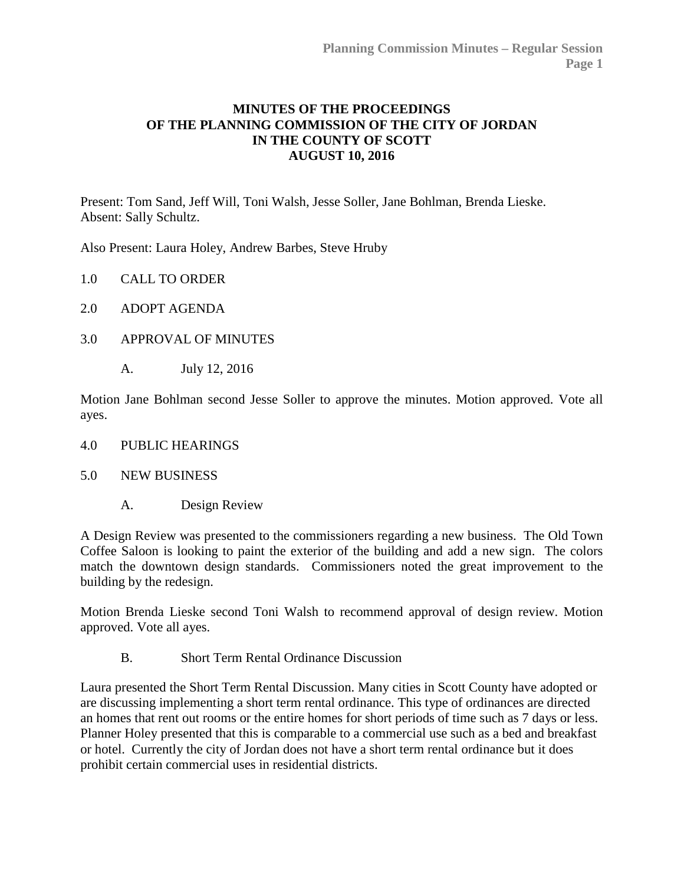## **MINUTES OF THE PROCEEDINGS OF THE PLANNING COMMISSION OF THE CITY OF JORDAN IN THE COUNTY OF SCOTT AUGUST 10, 2016**

Present: Tom Sand, Jeff Will, Toni Walsh, Jesse Soller, Jane Bohlman, Brenda Lieske. Absent: Sally Schultz.

Also Present: Laura Holey, Andrew Barbes, Steve Hruby

- 1.0 CALL TO ORDER
- 2.0 ADOPT AGENDA
- 3.0 [APPROVAL OF MINUTES](http://jordan-mn.granicus.com/wordlinkreceiver.php?clip_id=8dd23d15-70e4-4a0e-9539-00c9049924de&meta_id=8913406c-9962-43bc-9b04-965972bf5a3c&time=61)
	- A. July 12, 2016

Motion Jane Bohlman second Jesse Soller to approve the minutes. Motion approved. Vote all ayes.

- 4.0 [PUBLIC HEARINGS](http://jordan-mn.granicus.com/wordlinkreceiver.php?clip_id=8dd23d15-70e4-4a0e-9539-00c9049924de&meta_id=32967e61-6bc3-482d-a81a-ea88cb8bc6c0&time=89)
- 5.0 [NEW BUSINESS](http://jordan-mn.granicus.com/wordlinkreceiver.php?clip_id=8dd23d15-70e4-4a0e-9539-00c9049924de&meta_id=a6b6d29d-a394-45d2-bfe0-cd9ca5a6b0fd&time=92)
	- A. [Design Review](http://jordan-mn.granicus.com/wordlinkreceiver.php?clip_id=8dd23d15-70e4-4a0e-9539-00c9049924de&meta_id=ef662e42-53e9-4b79-917a-8cd053223699&time=93)

A Design Review was presented to the commissioners regarding a new business. The Old Town Coffee Saloon is looking to paint the exterior of the building and add a new sign. The colors match the downtown design standards. Commissioners noted the great improvement to the building by the redesign.

Motion Brenda Lieske second Toni Walsh to recommend approval of design review. Motion approved. Vote all ayes.

B. [Short Term Rental Ordinance Discussion](http://jordan-mn.granicus.com/wordlinkreceiver.php?clip_id=8dd23d15-70e4-4a0e-9539-00c9049924de&meta_id=3eb8881d-77cc-4468-9d44-acec5770da32&time=338)

Laura presented the Short Term Rental Discussion. Many cities in Scott County have adopted or are discussing implementing a short term rental ordinance. This type of ordinances are directed an homes that rent out rooms or the entire homes for short periods of time such as 7 days or less. Planner Holey presented that this is comparable to a commercial use such as a bed and breakfast or hotel. Currently the city of Jordan does not have a short term rental ordinance but it does prohibit certain commercial uses in residential districts.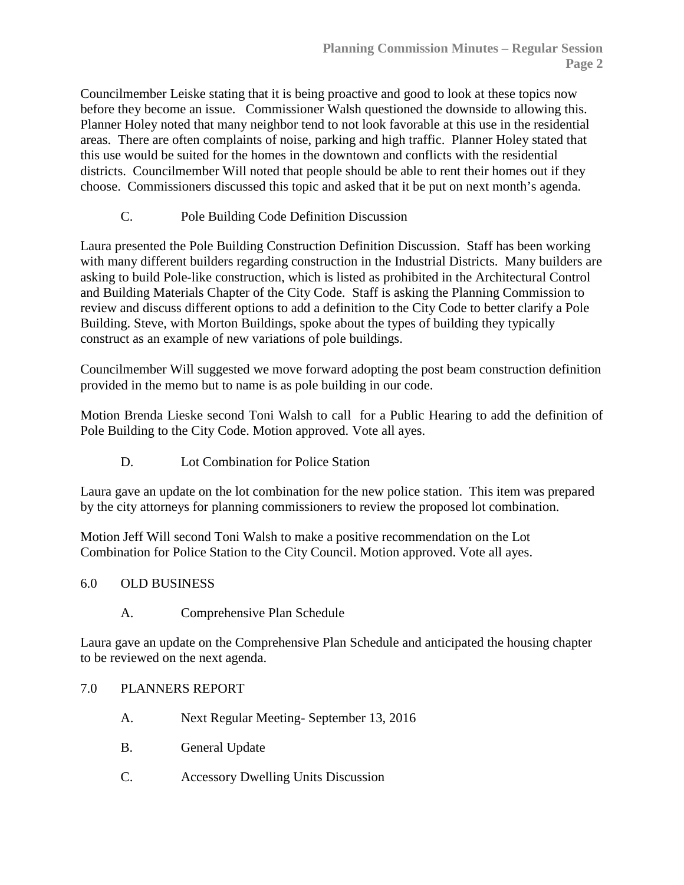Councilmember Leiske stating that it is being proactive and good to look at these topics now before they become an issue. Commissioner Walsh questioned the downside to allowing this. Planner Holey noted that many neighbor tend to not look favorable at this use in the residential areas. There are often complaints of noise, parking and high traffic. Planner Holey stated that this use would be suited for the homes in the downtown and conflicts with the residential districts. Councilmember Will noted that people should be able to rent their homes out if they choose. Commissioners discussed this topic and asked that it be put on next month's agenda.

C. [Pole Building Code Definition Discussion](http://jordan-mn.granicus.com/wordlinkreceiver.php?clip_id=8dd23d15-70e4-4a0e-9539-00c9049924de&meta_id=feff4249-1695-457d-a7d4-ac11780848a9&time=1669)

Laura presented the Pole Building Construction Definition Discussion. Staff has been working with many different builders regarding construction in the Industrial Districts. Many builders are asking to build Pole-like construction, which is listed as prohibited in the Architectural Control and Building Materials Chapter of the City Code. Staff is asking the Planning Commission to review and discuss different options to add a definition to the City Code to better clarify a Pole Building. Steve, with Morton Buildings, spoke about the types of building they typically construct as an example of new variations of pole buildings.

Councilmember Will suggested we move forward adopting the post beam construction definition provided in the memo but to name is as pole building in our code.

Motion Brenda Lieske second Toni Walsh to call for a Public Hearing to add the definition of Pole Building to the City Code. Motion approved. Vote all ayes.

D. [Lot Combination for Police Station](http://jordan-mn.granicus.com/wordlinkreceiver.php?clip_id=8dd23d15-70e4-4a0e-9539-00c9049924de&meta_id=f911ceb1-5e80-4a86-aba9-0cc3b164ce14&time=3428)

Laura gave an update on the lot combination for the new police station. This item was prepared by the city attorneys for planning commissioners to review the proposed lot combination.

Motion Jeff Will second Toni Walsh to make a positive recommendation on the Lot Combination for Police Station to the City Council. Motion approved. Vote all ayes.

## 6.0 OLD BUSINESS

A. [Comprehensive Plan Schedule](http://jordan-mn.granicus.com/wordlinkreceiver.php?clip_id=8dd23d15-70e4-4a0e-9539-00c9049924de&meta_id=3e5f0c6f-2f79-4c62-9924-1fa24cac1ecf&time=3587)

Laura gave an update on the Comprehensive Plan Schedule and anticipated the housing chapter to be reviewed on the next agenda.

## 7.0 [PLANNERS REPORT](http://jordan-mn.granicus.com/wordlinkreceiver.php?clip_id=8dd23d15-70e4-4a0e-9539-00c9049924de&meta_id=7a9dd6e5-5fd4-4384-962a-35a5f500950a&time=4002)

- A. Next Regular Meeting- September 13, 2016
- B. [General Update](http://jordan-mn.granicus.com/wordlinkreceiver.php?clip_id=8dd23d15-70e4-4a0e-9539-00c9049924de&meta_id=585f1b5c-e909-48cd-8eb6-c83e3b14ed06&time=4009)
- C. [Accessory Dwelling Units Discussion](http://jordan-mn.granicus.com/wordlinkreceiver.php?clip_id=8dd23d15-70e4-4a0e-9539-00c9049924de&meta_id=3bbf62d4-3d3c-4ae3-b7d6-adcdca319d46&time=4045)